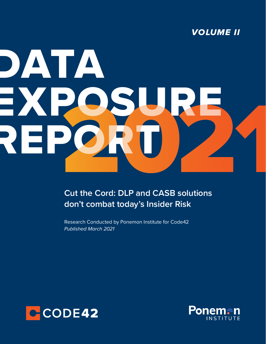

# DATA EXPOS REPORT Cut the Cord: DLP and CASB solutions

**Cut the Cord: DLP and CASB solutions don't combat today's Insider Risk**

Research Conducted by Ponemon Institute for Code42 *Published March 2021*



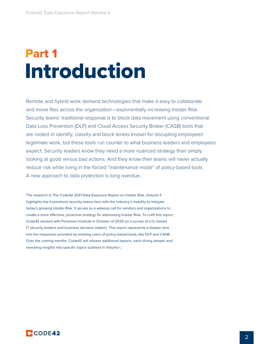### Introduction Part 1

Remote and hybrid work demand technologies that make it easy to collaborate and move files across the organization—exponentially increasing Insider Risk. Security teams' traditional response is to block data movement using conventional Data Loss Prevention (DLP) and Cloud Access Security Broker (CASB) tools that are rooted in identify, classify and block tenets known for disrupting employees' legitimate work, but these tools run counter to what business leaders and employees expect. Security leaders know they need a more nuanced strategy than simply looking at good versus bad actions. And they know their teams will never actually reduce risk while living in the forced "maintenance mode" of policy-based tools. A new approach to data protection is long overdue.

The research in The Code42 2021 Data Exposure Report on Insider Risk, Volume II highlights the frustrations security teams face with the industry's inability to mitigate today's growing Insider Risk. It serves as a wakeup call for vendors and organizations to create a more effective, proactive strategy for addressing Insider Risk. To craft this report, Code42 worked with Ponemon Institute in October of 2020 on a survey of U.S.-based IT security leaders and business decision makers. This report represents a deeper dive into the responses provided by existing users of policy-based tools, like DLP and CASB. Over the coming months, Code42 will release additional reports, each diving deeper and revealing insights into specific topics outlined in Volume I.

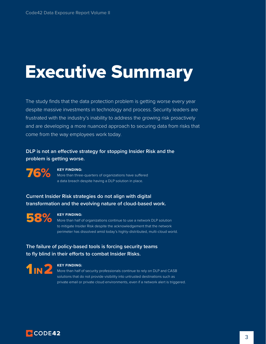### Executive Summary

The study finds that the data protection problem is getting worse every year despite massive investments in technology and process. Security leaders are frustrated with the industry's inability to address the growing risk proactively and are developing a more nuanced approach to securing data from risks that come from the way employees work today.

**DLP is not an effective strategy for stopping Insider Risk and the problem is getting worse.** 

76%

#### **KEY FINDING:**

More than three-quarters of organizations have suffered a data breach despite having a DLP solution in place.

**Current Insider Risk strategies do not align with digital transformation and the evolving nature of cloud-based work.** 



#### **KEY FINDING:**

More than half of organizations continue to use a network DLP solution to mitigate Insider Risk despite the acknowledgement that the network perimeter has dissolved amid today's highly-distributed, multi-cloud world.

**The failure of policy-based tools is forcing security teams to fly blind in their efforts to combat Insider Risks.**



#### **KEY FINDING:**

More than half of security professionals continue to rely on DLP and CASB solutions that do not provide visibility into untrusted destinations such as private email or private cloud environments, even if a network alert is triggered.

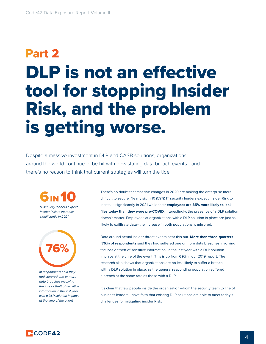# DLP is not an effective tool for stopping Insider Risk, and the problem is getting worse. Part 2

Despite a massive investment in DLP and CASB solutions, organizations around the world continue to be hit with devastating data breach events—and there's no reason to think that current strategies will turn the tide.



*IT security leaders expect Insider Risk to increase significantly in 2021*



*of respondents said they had suffered one or more data breaches involving the loss or theft of sensitive information in the last year with a DLP solution in place at the time of the event*

There's no doubt that massive changes in 2020 are making the enterprise more difficult to secure. Nearly six in 10 (59%) IT security leaders expect Insider Risk to increase significantly in 2021 while their **employees are 85% more likely to leak files today than they were pre-COVID**. Interestingly, the presence of a DLP solution doesn't matter. Employees at organizations with a DLP solution in place are just as likely to exfiltrate data--the increase in both populations is mirrored.

Data around actual insider threat events bear this out. **More than three-quarters (76%) of respondents** said they had suffered one or more data breaches involving the loss or theft of sensitive information in the last year with a DLP solution in place at the time of the event. This is up from **69%** in our 2019 report. The research also shows that organizations are no less likely to suffer a breach with a DLP solution in place, as the general responding population suffered a breach at the same rate as those with a DLP.

It's clear that few people inside the organization—from the security team to line of business leaders—have faith that existing DLP solutions are able to meet today's challenges for mitigating insider Risk.

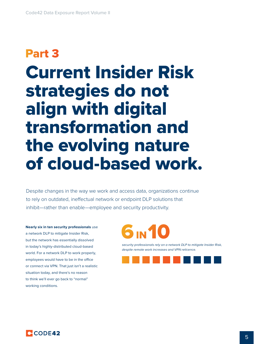## Current Insider Risk strategies do not align with digital transformation and the evolving nature of cloud-based work. Part 3

Despite changes in the way we work and access data, organizations continue to rely on outdated, ineffectual network or endpoint DLP solutions that inhibit—rather than enable—employee and security productivity.

**Nearly six in ten security professionals** use a network DLP to mitigate Insider Risk, but the network has essentially dissolved in today's highly-distributed cloud-based world. For a network DLP to work properly, employees would have to be in the office or connect via VPN. That just isn't a realistic situation today, and there's no reason to think we'll ever go back to "normal" working conditions.



*security professionals rely on a network DLP to mitigate Insider Risk, despite remote work increases and VPN reticence.*



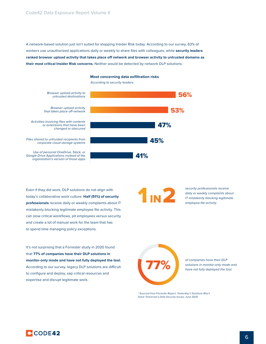A network-based solution just isn't suited for stopping Insider Risk today. According to our survey, 63% of workers use unauthorized applications daily or weekly to share files with colleagues, while **security leaders ranked browser upload activity that takes place off network and browser activity to untrusted domains as their most critical Insider Risk concerns.** Neither would be detected by network DLP solutions.



*According to security leaders*



Even if they did work, DLP solutions do not align with today's collaborative work culture. **Half (51%) of security professionals** receive daily or weekly complaints about IT mistakenly blocking legitimate employee file activity. This can slow critical workflows, pit employees versus security and create a lot of manual work for the team that has to spend time managing policy exceptions.

It's not surprising that a Forrester study in 2020 found that **77% of companies have their DLP solutions in monitor-only mode and have not fully deployed the tool.**  According to our survey, legacy DLP solutions are difficult to configure and deploy, sap critical resources and expertise and disrupt legitimate work.

**1IN2** 

*security professionals receive daily or weekly complaints about IT mistakenly blocking legitimate employee file activity.*



*of companies have their DLP solutions in monitor-only mode and* 77% *have not fully deployed the tool.* 

*\* Sourced from Forrester Report, Yesterday's Solutions Won't Solve Tomorrow's Data Security Issues, June 2020*

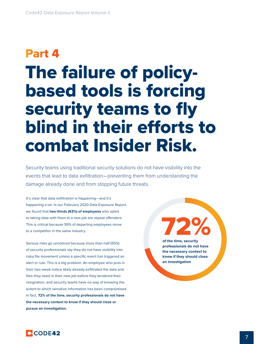## The failure of policybased tools is forcing security teams to fly blind in their efforts to combat Insider Risk. Part 4

Security teams using traditional security solutions do not have visibility into the events that lead to data exfiltration—preventing them from understanding the damage already done and from stopping future threats.

It's clear that data exfiltration is happening—and it's happening a lot. In our February 2020 Data Exposure Report, we found that **two-thirds (63%) of employees** who admit to taking data with them to a new job are repeat offenders. This is critical because 59% of departing employees move to a competitor in the same industry.

Serious risks go unnoticed because more than half (55%) of security professionals say they do not have visibility into risky file movement unless a specific event has triggered an alert or rule. This is a big problem. An employee who puts in their two-week notice likely already exfiltrated the data and files they need in their new job before they tendered their resignation, and security teams have no way of knowing the extent to which sensitive information has been compromised. In fact, **72% of the time, security professionals do not have the necessary context to know if they should close or pursue an investigation.**

72% **of the time, security professionals do not have the necessary context to know if they should close an investigation**

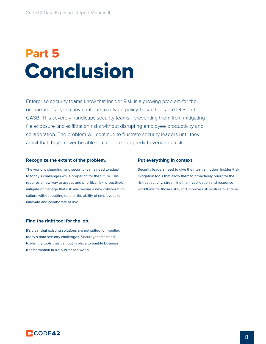### Conclusion Part 5

Enterprise security teams know that Insider Risk is a growing problem for their organizations—yet many continue to rely on policy-based tools like DLP and CASB. This severely handicaps security teams—preventing them from mitigating file exposure and exfiltration risks without disrupting employee productivity and collaboration. The problem will continue to frustrate security leaders until they admit that they'll never be able to categorize or predict every data risk.

#### **Recognize the extent of the problem.**

The world is changing, and security teams need to adapt to today's challenges while preparing for the future. This requires a new way to assess and prioritize risk, proactively mitigate or manage that risk and secure a new collaboration culture without putting data or the ability of employees to innovate and collaborate at risk.

#### **Find the right tool for the job.**

It's clear that existing solutions are not suited for meeting today's data security challenges. Security teams need to identify tools they can put in place to enable business transformation in a cloud-based world.

#### **Put everything in context.**

Security leaders need to give their teams modern Insider Risk mitigation tools that allow them to proactively prioritize the riskiest activity, streamline the investigation and response workflows for those risks, and improve risk posture over time.

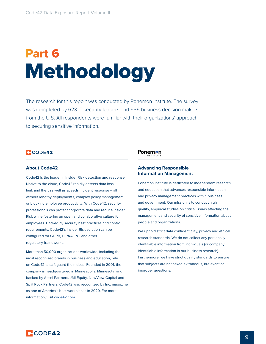# Methodology Part 6

The research for this report was conducted by Ponemon Institute. The survey was completed by 623 IT security leaders and 586 business decision makers from the U.S. All respondents were familiar with their organizations' approach to securing sensitive information.

### **C**CODE42

#### **About Code42**

Code42 is the leader in Insider Risk detection and response. Native to the cloud, Code42 rapidly detects data loss, leak and theft as well as speeds incident response – all without lengthy deployments, complex policy management or blocking employee productivity. With Code42, security professionals can protect corporate data and reduce Insider Risk while fostering an open and collaborative culture for employees. Backed by security best practices and control requirements, Code42's Insider Risk solution can be configured for GDPR, HIPAA, PCI and other regulatory frameworks.

More than 50,000 organizations worldwide, including the most recognized brands in business and education, rely on Code42 to safeguard their ideas. Founded in 2001, the company is headquartered in Minneapolis, Minnesota, and backed by Accel Partners, JMI Equity, NewView Capital and Split Rock Partners. Code42 was recognized by Inc. magazine as one of America's best workplaces in 2020. For more information, visit **[code42.com](http://code42.com)**.

### **Ponemon**

#### **Advancing Responsible Information Management**

Ponemon Institute is dedicated to independent research and education that advances responsible information and privacy management practices within business and government. Our mission is to conduct high quality, empirical studies on critical issues affecting the management and security of sensitive information about people and organizations.

We uphold strict data confidentiality, privacy and ethical research standards. We do not collect any personally identifiable information from individuals (or company identifiable information in our business research). Furthermore, we have strict quality standards to ensure that subjects are not asked extraneous, irrelevant or improper questions.